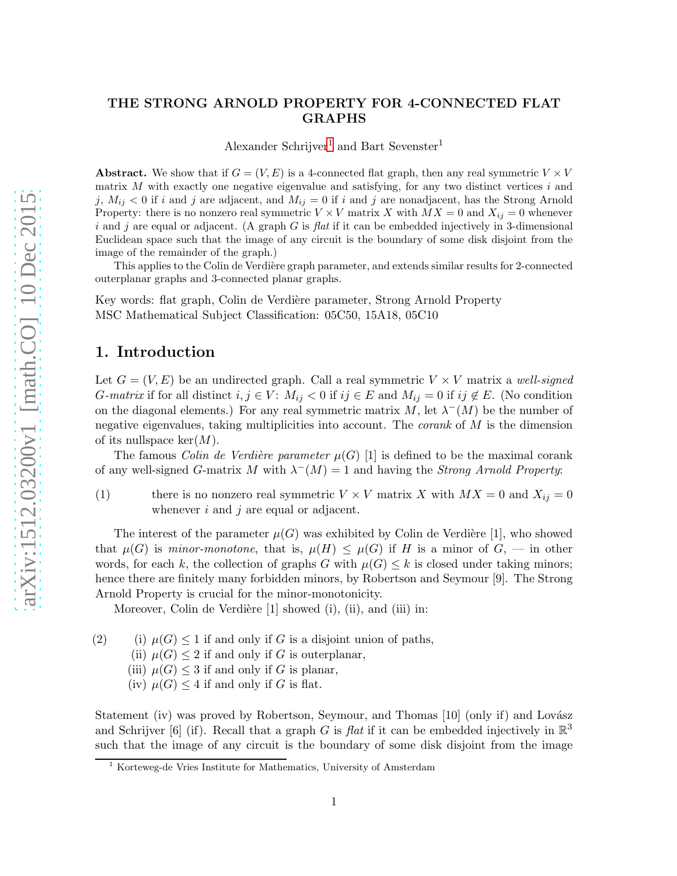#### THE STRONG ARNOLD PROPERTY FOR 4-CONNECTED FLAT GRAPHS

<span id="page-0-1"></span>Alexander Schrijver<sup>[1](#page-0-0)</sup> and Bart Sevenster<sup>1</sup>

Abstract. We show that if  $G = (V, E)$  is a 4-connected flat graph, then any real symmetric  $V \times V$ matrix  $M$  with exactly one negative eigenvalue and satisfying, for any two distinct vertices  $i$  and j,  $M_{ij} < 0$  if i and j are adjacent, and  $M_{ij} = 0$  if i and j are nonadjacent, has the Strong Arnold Property: there is no nonzero real symmetric  $V \times V$  matrix X with  $MX = 0$  and  $X_{ij} = 0$  whenever i and j are equal or adjacent. (A graph G is flat if it can be embedded injectively in 3-dimensional Euclidean space such that the image of any circuit is the boundary of some disk disjoint from the image of the remainder of the graph.)

This applies to the Colin de Verdière graph parameter, and extends similar results for 2-connected outerplanar graphs and 3-connected planar graphs.

Key words: flat graph, Colin de Verdière parameter, Strong Arnold Property MSC Mathematical Subject Classification: 05C50, 15A18, 05C10

# 1. Introduction

Let  $G = (V, E)$  be an undirected graph. Call a real symmetric  $V \times V$  matrix a well-signed G-matrix if for all distinct  $i, j \in V$ :  $M_{ij} < 0$  if  $ij \in E$  and  $M_{ij} = 0$  if  $ij \notin E$ . (No condition on the diagonal elements.) For any real symmetric matrix M, let  $\lambda^{-1}(M)$  be the number of negative eigenvalues, taking multiplicities into account. The *corank* of  $M$  is the dimension of its nullspace  $\ker(M)$ .

The famous *Colin de Verdière parameter*  $\mu(G)$  [1] is defined to be the maximal corank of any well-signed G-matrix M with  $\lambda^{-1}(M) = 1$  and having the *Strong Arnold Property:* 

(1) there is no nonzero real symmetric  $V \times V$  matrix X with  $MX = 0$  and  $X_{ij} = 0$ whenever  $i$  and  $j$  are equal or adjacent.

The interest of the parameter  $\mu(G)$  was exhibited by Colin de Verdière [1], who showed that  $\mu(G)$  is minor-monotone, that is,  $\mu(H) \leq \mu(G)$  if H is a minor of  $G$ , — in other words, for each k, the collection of graphs G with  $\mu(G) \leq k$  is closed under taking minors; hence there are finitely many forbidden minors, by Robertson and Seymour [9]. The Strong Arnold Property is crucial for the minor-monotonicity.

Moreover, Colin de Verdière  $[1]$  showed  $(i)$ ,  $(ii)$ , and  $(iii)$  in:

(2) (i)  $\mu(G) \leq 1$  if and only if G is a disjoint union of paths,

- (ii)  $\mu(G) \leq 2$  if and only if G is outerplanar,
- (iii)  $\mu(G) \leq 3$  if and only if G is planar,
- (iv)  $\mu(G) \leq 4$  if and only if G is flat.

Statement (iv) was proved by Robertson, Seymour, and Thomas  $[10]$  (only if) and Lovász and Schrijver [6] (if). Recall that a graph G is flat if it can be embedded injectively in  $\mathbb{R}^3$ such that the image of any circuit is the boundary of some disk disjoint from the image

<span id="page-0-0"></span><sup>1</sup> Korteweg-de Vries Institute for Mathematics, University of Amsterdam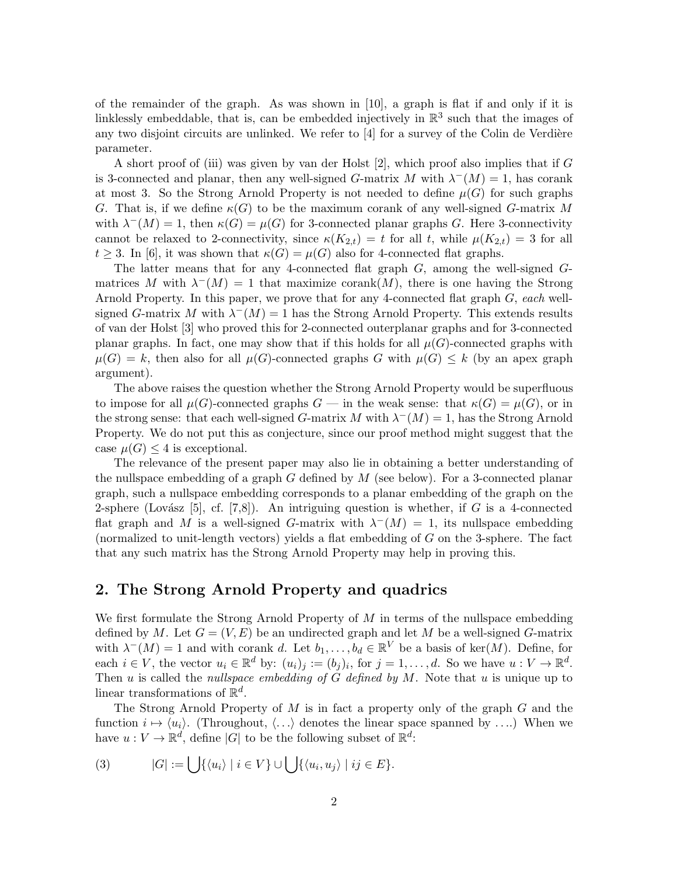of the remainder of the graph. As was shown in [10], a graph is flat if and only if it is linklessly embeddable, that is, can be embedded injectively in  $\mathbb{R}^3$  such that the images of any two disjoint circuits are unlinked. We refer to  $[4]$  for a survey of the Colin de Verdière parameter.

A short proof of (iii) was given by van der Holst [2], which proof also implies that if G is 3-connected and planar, then any well-signed G-matrix M with  $\lambda^{-}(M) = 1$ , has corank at most 3. So the Strong Arnold Property is not needed to define  $\mu(G)$  for such graphs G. That is, if we define  $\kappa(G)$  to be the maximum corank of any well-signed G-matrix M with  $\lambda^{-1}(M) = 1$ , then  $\kappa(G) = \mu(G)$  for 3-connected planar graphs G. Here 3-connectivity cannot be relaxed to 2-connectivity, since  $\kappa(K_{2,t}) = t$  for all t, while  $\mu(K_{2,t}) = 3$  for all  $t \geq 3$ . In [6], it was shown that  $\kappa(G) = \mu(G)$  also for 4-connected flat graphs.

The latter means that for any 4-connected flat graph G, among the well-signed Gmatrices M with  $\lambda^{-1}(M) = 1$  that maximize corank $(M)$ , there is one having the Strong Arnold Property. In this paper, we prove that for any 4-connected flat graph G, each wellsigned G-matrix M with  $\lambda^{-1}(M) = 1$  has the Strong Arnold Property. This extends results of van der Holst [3] who proved this for 2-connected outerplanar graphs and for 3-connected planar graphs. In fact, one may show that if this holds for all  $\mu(G)$ -connected graphs with  $\mu(G) = k$ , then also for all  $\mu(G)$ -connected graphs G with  $\mu(G) \leq k$  (by an apex graph argument).

The above raises the question whether the Strong Arnold Property would be superfluous to impose for all  $\mu(G)$ -connected graphs  $G$  — in the weak sense: that  $\kappa(G) = \mu(G)$ , or in the strong sense: that each well-signed G-matrix M with  $\lambda^{-}(M) = 1$ , has the Strong Arnold Property. We do not put this as conjecture, since our proof method might suggest that the case  $\mu(G) \leq 4$  is exceptional.

The relevance of the present paper may also lie in obtaining a better understanding of the nullspace embedding of a graph G defined by  $M$  (see below). For a 3-connected planar graph, such a nullspace embedding corresponds to a planar embedding of the graph on the 2-sphere (Lovász [5], cf. [7,8]). An intriguing question is whether, if G is a 4-connected flat graph and M is a well-signed G-matrix with  $\lambda^{-}(M) = 1$ , its nullspace embedding (normalized to unit-length vectors) yields a flat embedding of G on the 3-sphere. The fact that any such matrix has the Strong Arnold Property may help in proving this.

# 2. The Strong Arnold Property and quadrics

We first formulate the Strong Arnold Property of  $M$  in terms of the nullspace embedding defined by M. Let  $G = (V, E)$  be an undirected graph and let M be a well-signed G-matrix with  $\lambda^-(M) = 1$  and with corank d. Let  $b_1, \ldots, b_d \in \mathbb{R}^V$  be a basis of ker $(M)$ . Define, for each  $i \in V$ , the vector  $u_i \in \mathbb{R}^d$  by:  $(u_i)_j := (b_j)_i$ , for  $j = 1, ..., d$ . So we have  $u : V \to \mathbb{R}^d$ . Then  $u$  is called the *nullspace embedding of G defined by M*. Note that  $u$  is unique up to linear transformations of  $\mathbb{R}^d$ .

The Strong Arnold Property of  $M$  is in fact a property only of the graph  $G$  and the function  $i \mapsto \langle u_i \rangle$ . (Throughout,  $\langle \ldots \rangle$  denotes the linear space spanned by ....) When we have  $u: V \to \mathbb{R}^d$ , define |G| to be the following subset of  $\mathbb{R}^d$ :

(3) 
$$
|G| := \bigcup \{ \langle u_i \rangle \mid i \in V \} \cup \bigcup \{ \langle u_i, u_j \rangle \mid ij \in E \}.
$$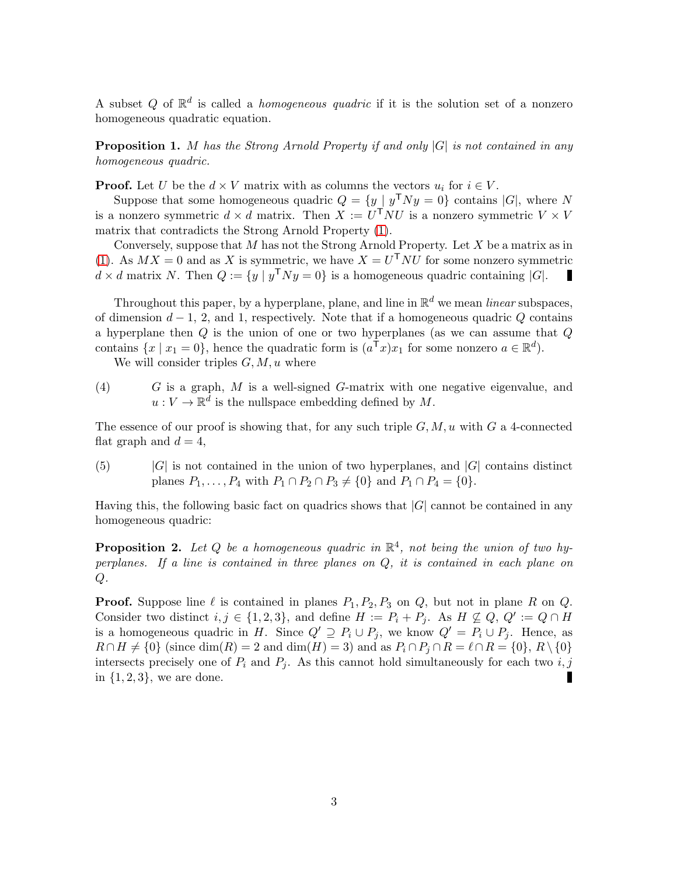A subset Q of  $\mathbb{R}^d$  is called a *homogeneous quadric* if it is the solution set of a nonzero homogeneous quadratic equation.

**Proposition 1.** M has the Strong Arnold Property if and only  $|G|$  is not contained in any homogeneous quadric.

**Proof.** Let U be the  $d \times V$  matrix with as columns the vectors  $u_i$  for  $i \in V$ .

Suppose that some homogeneous quadric  $Q = \{y \mid y^{\mathsf{T}} Ny = 0\}$  contains  $|G|$ , where N is a nonzero symmetric  $d \times d$  matrix. Then  $X := U^{\mathsf{T}}NU$  is a nonzero symmetric  $V \times V$ matrix that contradicts the Strong Arnold Property [\(1\)](#page-0-1).

Conversely, suppose that  $M$  has not the Strong Arnold Property. Let  $X$  be a matrix as in [\(1\)](#page-0-1). As  $MX = 0$  and as X is symmetric, we have  $X = U^{T}NU$  for some nonzero symmetric  $d \times d$  matrix N. Then  $Q := \{y \mid y^{\mathsf{T}} N y = 0\}$  is a homogeneous quadric containing  $|G|$ .

Throughout this paper, by a hyperplane, plane, and line in  $\mathbb{R}^d$  we mean *linear* subspaces, of dimension  $d-1$ , 2, and 1, respectively. Note that if a homogeneous quadric Q contains a hyperplane then Q is the union of one or two hyperplanes (as we can assume that Q contains  $\{x \mid x_1 = 0\}$ , hence the quadratic form is  $(a^{\dagger}x)x_1$  for some nonzero  $a \in \mathbb{R}^d$ ).

<span id="page-2-0"></span>We will consider triples  $G, M, u$  where

(4)  $G$  is a graph,  $M$  is a well-signed  $G$ -matrix with one negative eigenvalue, and  $u: V \to \mathbb{R}^d$  is the nullspace embedding defined by M.

<span id="page-2-1"></span>The essence of our proof is showing that, for any such triple  $G, M, u$  with G a 4-connected flat graph and  $d = 4$ ,

(5)  $|G|$  is not contained in the union of two hyperplanes, and  $|G|$  contains distinct planes  $P_1, \ldots, P_4$  with  $P_1 \cap P_2 \cap P_3 \neq \{0\}$  and  $P_1 \cap P_4 = \{0\}.$ 

<span id="page-2-2"></span>Having this, the following basic fact on quadrics shows that  $|G|$  cannot be contained in any homogeneous quadric:

**Proposition 2.** Let Q be a homogeneous quadric in  $\mathbb{R}^4$ , not being the union of two hyperplanes. If a line is contained in three planes on Q, it is contained in each plane on  $Q$ .

**Proof.** Suppose line  $\ell$  is contained in planes  $P_1, P_2, P_3$  on Q, but not in plane R on Q. Consider two distinct  $i, j \in \{1, 2, 3\}$ , and define  $H := P_i + P_j$ . As  $H \nsubseteq Q$ ,  $Q' := Q \cap H$ is a homogeneous quadric in H. Since  $Q' \supseteq P_i \cup P_j$ , we know  $Q' = P_i \cup P_j$ . Hence, as  $R \cap H \neq \{0\}$  (since dim(R) = 2 and dim(H) = 3) and as  $P_i \cap P_j \cap R = \ell \cap R = \{0\}, R \setminus \{0\}$ intersects precisely one of  $P_i$  and  $P_j$ . As this cannot hold simultaneously for each two  $i, j$ in  $\{1, 2, 3\}$ , we are done. П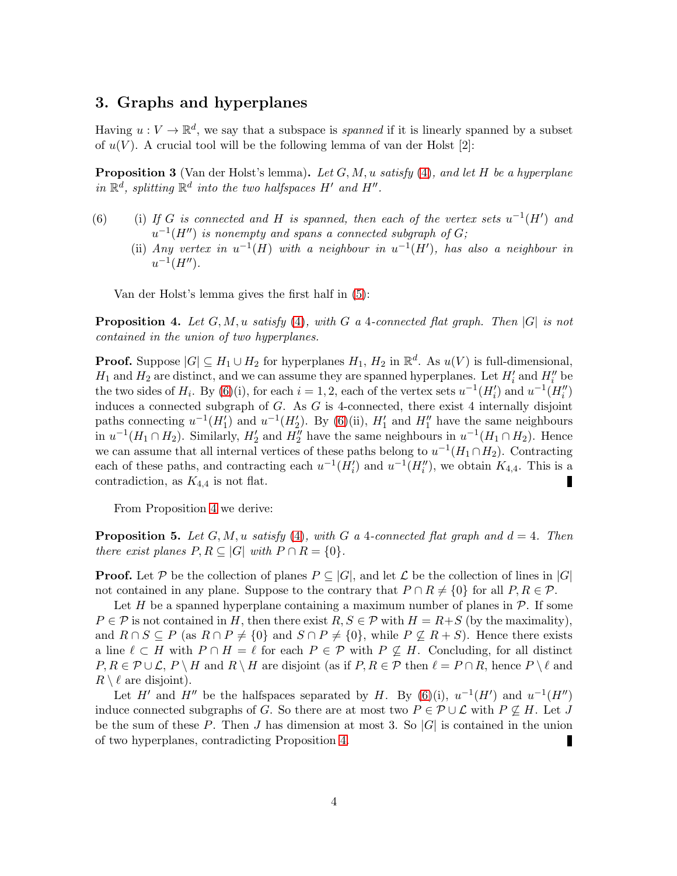# 3. Graphs and hyperplanes

Having  $u: V \to \mathbb{R}^d$ , we say that a subspace is *spanned* if it is linearly spanned by a subset of  $u(V)$ . A crucial tool will be the following lemma of van der Holst [2]:

<span id="page-3-0"></span>**Proposition 3** (Van der Holst's lemma). Let  $G, M, u$  satisfy [\(4\)](#page-2-0), and let H be a hyperplane in  $\mathbb{R}^d$ , splitting  $\mathbb{R}^d$  into the two halfspaces H' and H".

- (6) (i) If G is connected and H is spanned, then each of the vertex sets  $u^{-1}(H')$  and  $u^{-1}(H'')$  is nonempty and spans a connected subgraph of  $G$ ;
	- (ii) Any vertex in  $u^{-1}(H)$  with a neighbour in  $u^{-1}(H')$ , has also a neighbour in  $u^{-1}(H'')$ .

<span id="page-3-1"></span>Van der Holst's lemma gives the first half in [\(5\)](#page-2-1):

**Proposition 4.** Let  $G, M, u$  satisfy [\(4\)](#page-2-0), with G a 4-connected flat graph. Then  $|G|$  is not contained in the union of two hyperplanes.

**Proof.** Suppose  $|G| \subseteq H_1 \cup H_2$  for hyperplanes  $H_1, H_2$  in  $\mathbb{R}^d$ . As  $u(V)$  is full-dimensional,  $H_1$  and  $H_2$  are distinct, and we can assume they are spanned hyperplanes. Let  $H'_i$  and  $H''_i$  be the two sides of  $H_i$ . By [\(6\)](#page-3-0)(i), for each  $i = 1, 2$ , each of the vertex sets  $u^{-1}(H'_i)$  and  $u^{-1}(H''_i)$ induces a connected subgraph of  $G$ . As  $G$  is 4-connected, there exist 4 internally disjoint paths connecting  $u^{-1}(H'_1)$  and  $u^{-1}(H'_2)$ . By [\(6\)](#page-3-0)(ii),  $H'_1$  and  $H''_1$  have the same neighbours in  $u^{-1}(H_1 \cap H_2)$ . Similarly,  $H'_2$  and  $H''_2$  have the same neighbours in  $u^{-1}(H_1 \cap H_2)$ . Hence we can assume that all internal vertices of these paths belong to  $u^{-1}(H_1 \cap H_2)$ . Contracting each of these paths, and contracting each  $u^{-1}(H'_i)$  and  $u^{-1}(H''_i)$ , we obtain  $K_{4,4}$ . This is a contradiction, as  $K_{4,4}$  is not flat.

<span id="page-3-2"></span>From Proposition [4](#page-3-1) we derive:

**Proposition 5.** Let G, M, u satisfy [\(4\)](#page-2-0), with G a 4-connected flat graph and  $d = 4$ . Then there exist planes  $P, R \subseteq |G|$  with  $P \cap R = \{0\}.$ 

**Proof.** Let P be the collection of planes  $P \subseteq |G|$ , and let L be the collection of lines in  $|G|$ not contained in any plane. Suppose to the contrary that  $P \cap R \neq \{0\}$  for all  $P, R \in \mathcal{P}$ .

Let H be a spanned hyperplane containing a maximum number of planes in  $\mathcal{P}$ . If some  $P \in \mathcal{P}$  is not contained in H, then there exist  $R, S \in \mathcal{P}$  with  $H = R+S$  (by the maximality), and  $R \cap S \subseteq P$  (as  $R \cap P \neq \{0\}$  and  $S \cap P \neq \{0\}$ , while  $P \nsubseteq R + S$ ). Hence there exists a line  $\ell \subset H$  with  $P \cap H = \ell$  for each  $P \in \mathcal{P}$  with  $P \nsubseteq H$ . Concluding, for all distinct  $P, R \in \mathcal{P} \cup \mathcal{L}, P \setminus H$  and  $R \setminus H$  are disjoint (as if  $P, R \in \mathcal{P}$  then  $\ell = P \cap R$ , hence  $P \setminus \ell$  and  $R \setminus \ell$  are disjoint).

Let H' and H'' be the halfspaces separated by H. By [\(6\)](#page-3-0)(i),  $u^{-1}(H')$  and  $u^{-1}(H'')$ induce connected subgraphs of G. So there are at most two  $P \in \mathcal{P} \cup \mathcal{L}$  with  $P \nsubseteq H$ . Let J be the sum of these P. Then J has dimension at most 3. So  $|G|$  is contained in the union of two hyperplanes, contradicting Proposition [4.](#page-3-1)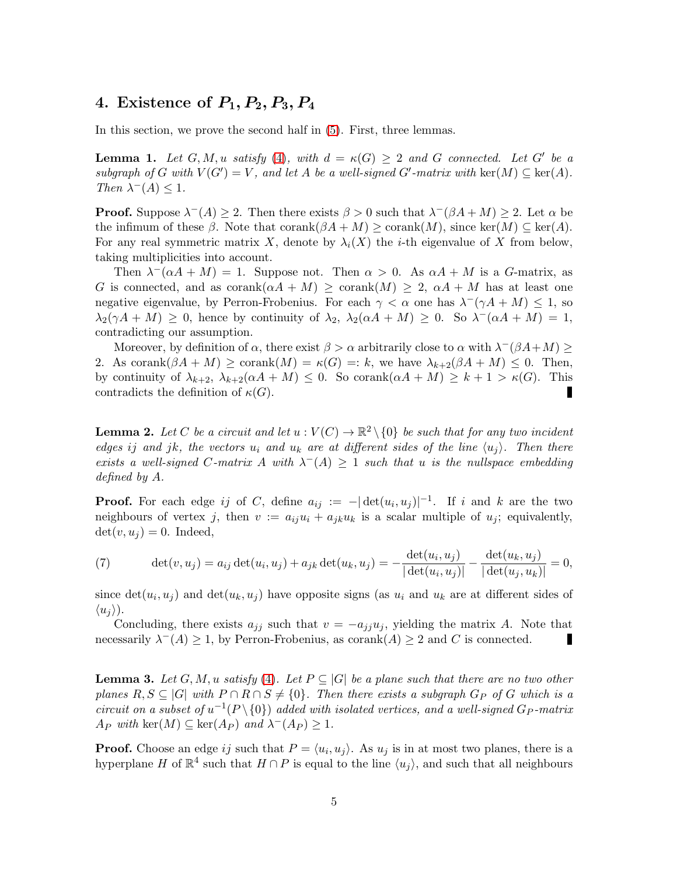# 4. Existence of  $P_1, P_2, P_3, P_4$

<span id="page-4-2"></span>In this section, we prove the second half in [\(5\)](#page-2-1). First, three lemmas.

**Lemma 1.** Let  $G, M, u$  satisfy [\(4\)](#page-2-0), with  $d = \kappa(G) \geq 2$  and G connected. Let G' be a subgraph of G with  $V(G') = V$ , and let A be a well-signed G'-matrix with ker $(M) \subseteq \text{ker}(A)$ . Then  $\lambda^{-}(A) \leq 1$ .

**Proof.** Suppose  $\lambda^{-}(A) \geq 2$ . Then there exists  $\beta > 0$  such that  $\lambda^{-}(\beta A + M) \geq 2$ . Let  $\alpha$  be the infimum of these  $\beta$ . Note that corank $(\beta A + M) \geq$  corank $(M)$ , since ker $(M) \subseteq$  ker $(A)$ . For any real symmetric matrix X, denote by  $\lambda_i(X)$  the *i*-th eigenvalue of X from below, taking multiplicities into account.

Then  $\lambda^-(\alpha A + M) = 1$ . Suppose not. Then  $\alpha > 0$ . As  $\alpha A + M$  is a G-matrix, as G is connected, and as corank( $\alpha A + M$ )  $\geq$  corank $(M) \geq 2$ ,  $\alpha A + M$  has at least one negative eigenvalue, by Perron-Frobenius. For each  $\gamma < \alpha$  one has  $\lambda^-(\gamma A + M) \leq 1$ , so  $\lambda_2(\gamma A + M) \geq 0$ , hence by continuity of  $\lambda_2$ ,  $\lambda_2(\alpha A + M) \geq 0$ . So  $\lambda(\alpha A + M) = 1$ , contradicting our assumption.

Moreover, by definition of  $\alpha$ , there exist  $\beta > \alpha$  arbitrarily close to  $\alpha$  with  $\lambda^{-}(\beta A + M) \geq$ 2. As corank $(\beta A + M) \geq$  corank $(M) = \kappa(G) =: k$ , we have  $\lambda_{k+2}(\beta A + M) \leq 0$ . Then, by continuity of  $\lambda_{k+2}$ ,  $\lambda_{k+2}(\alpha A + M) \leq 0$ . So corank $(\alpha A + M) \geq k+1 > \kappa(G)$ . This contradicts the definition of  $\kappa(G)$ .

<span id="page-4-0"></span>**Lemma 2.** Let C be a circuit and let  $u: V(C) \to \mathbb{R}^2 \setminus \{0\}$  be such that for any two incident edges ij and jk, the vectors  $u_i$  and  $u_k$  are at different sides of the line  $\langle u_j \rangle$ . Then there exists a well-signed C-matrix A with  $\lambda^{-}(A) \geq 1$  such that u is the nullspace embedding defined by A.

**Proof.** For each edge ij of C, define  $a_{ij} := -|\det(u_i, u_j)|^{-1}$ . If i and k are the two neighbours of vertex j, then  $v := a_{ij}u_i + a_{jk}u_k$  is a scalar multiple of  $u_j$ ; equivalently,  $\det(v, u_i) = 0$ . Indeed,

(7) 
$$
\det(v, u_j) = a_{ij} \det(u_i, u_j) + a_{jk} \det(u_k, u_j) = -\frac{\det(u_i, u_j)}{|\det(u_i, u_j)|} - \frac{\det(u_k, u_j)}{|\det(u_j, u_k)|} = 0,
$$

since  $\det(u_i, u_j)$  and  $\det(u_k, u_j)$  have opposite signs (as  $u_i$  and  $u_k$  are at different sides of  $\langle u_i \rangle$ ).

Concluding, there exists  $a_{jj}$  such that  $v = -a_{jj}u_j$ , yielding the matrix A. Note that necessarily  $\lambda^{-}(A) \geq 1$ , by Perron-Frobenius, as corank $(A) \geq 2$  and C is connected. П

<span id="page-4-1"></span>**Lemma 3.** Let  $G, M, u$  satisfy [\(4\)](#page-2-0). Let  $P \subseteq |G|$  be a plane such that there are no two other planes  $R, S \subseteq |G|$  with  $P \cap R \cap S \neq \{0\}$ . Then there exists a subgraph  $G_P$  of G which is a circuit on a subset of  $u^{-1}(P \setminus \{0\})$  added with isolated vertices, and a well-signed  $G_P$ -matrix  $A_P \text{ with } \text{ker}(M) \subseteq \text{ker}(A_P) \text{ and } \lambda^{-}(A_P) \geq 1.$ 

**Proof.** Choose an edge ij such that  $P = \langle u_i, u_j \rangle$ . As  $u_j$  is in at most two planes, there is a hyperplane H of  $\mathbb{R}^4$  such that  $H \cap P$  is equal to the line  $\langle u_j \rangle$ , and such that all neighbours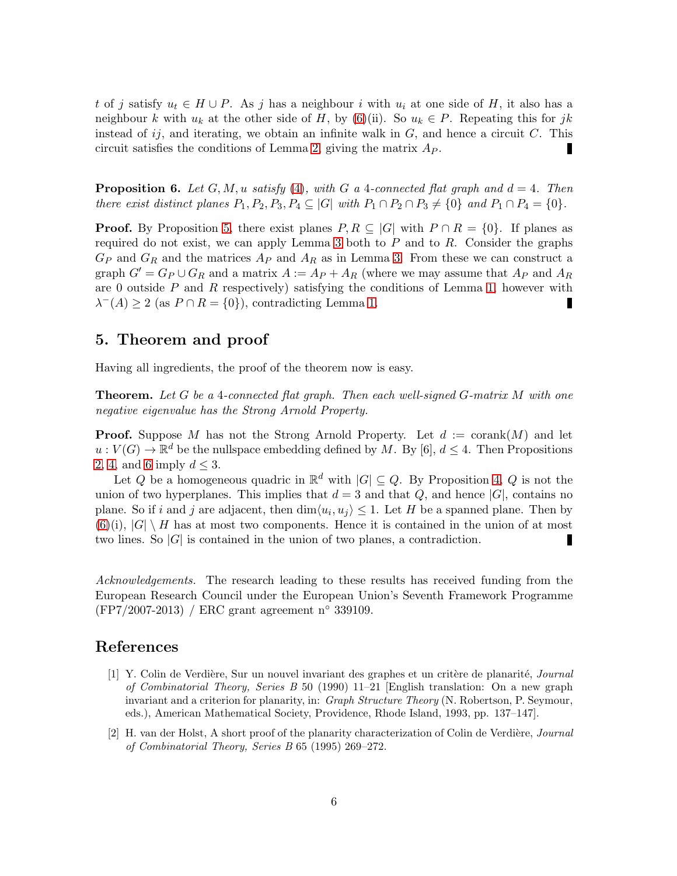t of j satisfy  $u_t \in H \cup P$ . As j has a neighbour i with  $u_i$  at one side of H, it also has a neighbour k with  $u_k$  at the other side of H, by [\(6\)](#page-3-0)(ii). So  $u_k \in P$ . Repeating this for jk instead of  $ij$ , and iterating, we obtain an infinite walk in  $G$ , and hence a circuit  $C$ . This circuit satisfies the conditions of Lemma [2,](#page-4-0) giving the matrix  $A_P$ . П

<span id="page-5-0"></span>**Proposition 6.** Let  $G, M, u$  satisfy [\(4\)](#page-2-0), with G a 4-connected flat graph and  $d = 4$ . Then there exist distinct planes  $P_1, P_2, P_3, P_4 \subseteq |G|$  with  $P_1 \cap P_2 \cap P_3 \neq \{0\}$  and  $P_1 \cap P_4 = \{0\}.$ 

**Proof.** By Proposition [5,](#page-3-2) there exist planes  $P, R \subseteq |G|$  with  $P \cap R = \{0\}$ . If planes as required do not exist, we can apply Lemma [3](#page-4-1) both to  $P$  and to  $R$ . Consider the graphs  $G_P$  and  $G_R$  and the matrices  $A_P$  and  $A_R$  as in Lemma [3.](#page-4-1) From these we can construct a graph  $G' = G_P \cup G_R$  and a matrix  $A := A_P + A_R$  (where we may assume that  $A_P$  and  $A_R$ are 0 outside  $P$  and  $R$  respectively) satisfying the conditions of Lemma [1,](#page-4-2) however with  $\lambda^{-}(A) \geq 2$  (as  $P \cap R = \{0\}$ ), contradicting Lemma [1.](#page-4-2) П

## 5. Theorem and proof

Having all ingredients, the proof of the theorem now is easy.

**Theorem.** Let G be a 4-connected flat graph. Then each well-signed G-matrix  $M$  with one negative eigenvalue has the Strong Arnold Property.

**Proof.** Suppose M has not the Strong Arnold Property. Let  $d := \operatorname{corank}(M)$  and let  $u: V(G) \to \mathbb{R}^d$  be the nullspace embedding defined by M. By [6],  $d \leq 4$ . Then Propositions [2,](#page-2-2) [4,](#page-3-1) and [6](#page-5-0) imply  $d \leq 3$ .

Let Q be a homogeneous quadric in  $\mathbb{R}^d$  with  $|G| \subseteq Q$ . By Proposition [4,](#page-3-1) Q is not the union of two hyperplanes. This implies that  $d = 3$  and that Q, and hence |G|, contains no plane. So if i and j are adjacent, then  $\dim \langle u_i, u_j \rangle \leq 1$ . Let H be a spanned plane. Then by  $(6)(i)$  $(6)(i)$ ,  $|G| \setminus H$  has at most two components. Hence it is contained in the union of at most two lines. So  $|G|$  is contained in the union of two planes, a contradiction. г

Acknowledgements. The research leading to these results has received funding from the European Research Council under the European Union's Seventh Framework Programme (FP7/2007-2013) / ERC grant agreement n◦ 339109.

#### References

- [1] Y. Colin de Verdière, Sur un nouvel invariant des graphes et un critère de planarité, *Journal* of Combinatorial Theory, Series B 50 (1990) 11–21 [English translation: On a new graph invariant and a criterion for planarity, in: *Graph Structure Theory* (N. Robertson, P. Seymour, eds.), American Mathematical Society, Providence, Rhode Island, 1993, pp. 137–147].
- [2] H. van der Holst, A short proof of the planarity characterization of Colin de Verdière, Journal of Combinatorial Theory, Series B 65 (1995) 269–272.